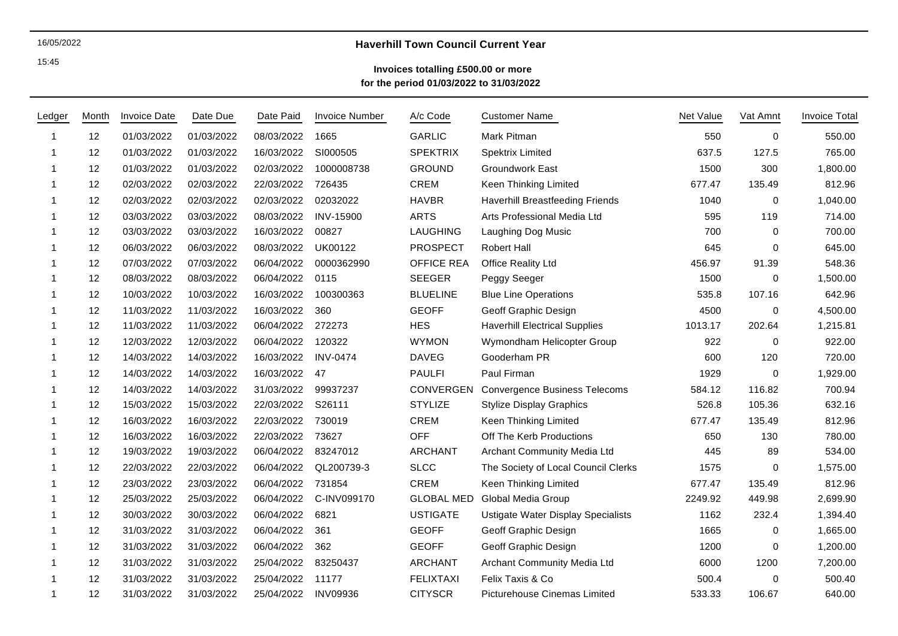### 16/05/2022

15:45

# **Haverhill Town Council Current Year**

## **Invoices totalling £500.00 or more for the period 01/03/2022 to 31/03/2022**

| Ledger         | Month | <b>Invoice Date</b> | Date Due   | Date Paid  | <b>Invoice Number</b> | A/c Code          | <b>Customer Name</b>                 | <b>Net Value</b> | Vat Amnt | <b>Invoice Total</b> |
|----------------|-------|---------------------|------------|------------|-----------------------|-------------------|--------------------------------------|------------------|----------|----------------------|
| -1             | 12    | 01/03/2022          | 01/03/2022 | 08/03/2022 | 1665                  | <b>GARLIC</b>     | Mark Pitman                          | 550              | 0        | 550.00               |
| $\mathbf 1$    | 12    | 01/03/2022          | 01/03/2022 | 16/03/2022 | SI000505              | <b>SPEKTRIX</b>   | <b>Spektrix Limited</b>              | 637.5            | 127.5    | 765.00               |
| $\overline{1}$ | 12    | 01/03/2022          | 01/03/2022 | 02/03/2022 | 1000008738            | <b>GROUND</b>     | Groundwork East                      | 1500             | 300      | 1,800.00             |
| -1             | 12    | 02/03/2022          | 02/03/2022 | 22/03/2022 | 726435                | CREM              | Keen Thinking Limited                | 677.47           | 135.49   | 812.96               |
| -1             | 12    | 02/03/2022          | 02/03/2022 | 02/03/2022 | 02032022              | <b>HAVBR</b>      | Haverhill Breastfeeding Friends      | 1040             | 0        | 1,040.00             |
|                | 12    | 03/03/2022          | 03/03/2022 | 08/03/2022 | <b>INV-15900</b>      | <b>ARTS</b>       | Arts Professional Media Ltd          | 595              | 119      | 714.00               |
| $\mathbf 1$    | 12    | 03/03/2022          | 03/03/2022 | 16/03/2022 | 00827                 | <b>LAUGHING</b>   | Laughing Dog Music                   | 700              | 0        | 700.00               |
| -1             | 12    | 06/03/2022          | 06/03/2022 | 08/03/2022 | UK00122               | <b>PROSPECT</b>   | <b>Robert Hall</b>                   | 645              | $\Omega$ | 645.00               |
|                | 12    | 07/03/2022          | 07/03/2022 | 06/04/2022 | 0000362990            | OFFICE REA        | Office Reality Ltd                   | 456.97           | 91.39    | 548.36               |
|                | 12    | 08/03/2022          | 08/03/2022 | 06/04/2022 | 0115                  | <b>SEEGER</b>     | Peggy Seeger                         | 1500             | 0        | 1,500.00             |
| -1             | 12    | 10/03/2022          | 10/03/2022 | 16/03/2022 | 100300363             | <b>BLUELINE</b>   | <b>Blue Line Operations</b>          | 535.8            | 107.16   | 642.96               |
| $\mathbf 1$    | 12    | 11/03/2022          | 11/03/2022 | 16/03/2022 | 360                   | <b>GEOFF</b>      | Geoff Graphic Design                 | 4500             | 0        | 4,500.00             |
| $\mathbf 1$    | 12    | 11/03/2022          | 11/03/2022 | 06/04/2022 | 272273                | <b>HES</b>        | <b>Haverhill Electrical Supplies</b> | 1013.17          | 202.64   | 1,215.81             |
|                | 12    | 12/03/2022          | 12/03/2022 | 06/04/2022 | 120322                | <b>WYMON</b>      | Wymondham Helicopter Group           | 922              | $\Omega$ | 922.00               |
|                | 12    | 14/03/2022          | 14/03/2022 | 16/03/2022 | <b>INV-0474</b>       | <b>DAVEG</b>      | Gooderham PR                         | 600              | 120      | 720.00               |
|                | 12    | 14/03/2022          | 14/03/2022 | 16/03/2022 | 47                    | <b>PAULFI</b>     | Paul Firman                          | 1929             | 0        | 1,929.00             |
| -1             | 12    | 14/03/2022          | 14/03/2022 | 31/03/2022 | 99937237              | CONVERGEN         | <b>Convergence Business Telecoms</b> | 584.12           | 116.82   | 700.94               |
| -1             | 12    | 15/03/2022          | 15/03/2022 | 22/03/2022 | S26111                | <b>STYLIZE</b>    | <b>Stylize Display Graphics</b>      | 526.8            | 105.36   | 632.16               |
|                | 12    | 16/03/2022          | 16/03/2022 | 22/03/2022 | 730019                | CREM              | Keen Thinking Limited                | 677.47           | 135.49   | 812.96               |
|                | 12    | 16/03/2022          | 16/03/2022 | 22/03/2022 | 73627                 | <b>OFF</b>        | Off The Kerb Productions             | 650              | 130      | 780.00               |
| -1             | 12    | 19/03/2022          | 19/03/2022 | 06/04/2022 | 83247012              | <b>ARCHANT</b>    | Archant Community Media Ltd          | 445              | 89       | 534.00               |
|                | 12    | 22/03/2022          | 22/03/2022 | 06/04/2022 | QL200739-3            | <b>SLCC</b>       | The Society of Local Council Clerks  | 1575             | 0        | 1,575.00             |
| -1             | 12    | 23/03/2022          | 23/03/2022 | 06/04/2022 | 731854                | CREM              | Keen Thinking Limited                | 677.47           | 135.49   | 812.96               |
| -1             | 12    | 25/03/2022          | 25/03/2022 | 06/04/2022 | C-INV099170           | <b>GLOBAL MED</b> | Global Media Group                   | 2249.92          | 449.98   | 2,699.90             |
| $\mathbf 1$    | 12    | 30/03/2022          | 30/03/2022 | 06/04/2022 | 6821                  | <b>USTIGATE</b>   | Ustigate Water Display Specialists   | 1162             | 232.4    | 1,394.40             |
| $\mathbf 1$    | 12    | 31/03/2022          | 31/03/2022 | 06/04/2022 | 361                   | <b>GEOFF</b>      | Geoff Graphic Design                 | 1665             | 0        | 1,665.00             |
| -1             | 12    | 31/03/2022          | 31/03/2022 | 06/04/2022 | 362                   | <b>GEOFF</b>      | Geoff Graphic Design                 | 1200             | 0        | 1,200.00             |
| -1             | 12    | 31/03/2022          | 31/03/2022 | 25/04/2022 | 83250437              | <b>ARCHANT</b>    | Archant Community Media Ltd          | 6000             | 1200     | 7,200.00             |
|                | 12    | 31/03/2022          | 31/03/2022 | 25/04/2022 | 11177                 | <b>FELIXTAXI</b>  | Felix Taxis & Co                     | 500.4            | $\Omega$ | 500.40               |
| -1             | 12    | 31/03/2022          | 31/03/2022 | 25/04/2022 | <b>INV09936</b>       | <b>CITYSCR</b>    | Picturehouse Cinemas Limited         | 533.33           | 106.67   | 640.00               |